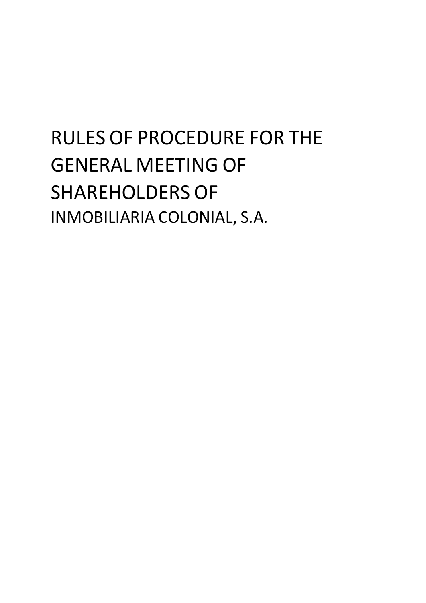# RULES OF PROCEDURE FOR THE GENERAL MEETING OF SHAREHOLDERS OF INMOBILIARIA COLONIAL, S.A.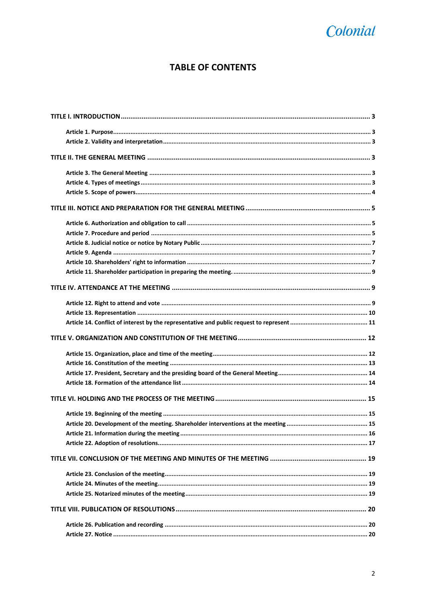## Colonial

### **TABLE OF CONTENTS**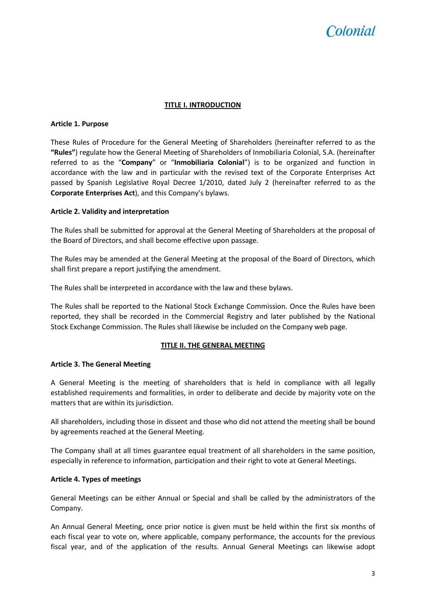## *colonial*

#### **TITLE I. INTRODUCTION**

#### <span id="page-2-1"></span><span id="page-2-0"></span>**Article 1. Purpose**

These Rules of Procedure for the General Meeting of Shareholders (hereinafter referred to as the **"Rules"**) regulate how the General Meeting of Shareholders of Inmobiliaria Colonial, S.A. (hereinafter referred to as the "**Company**" or "**Inmobiliaria Colonial**") is to be organized and function in accordance with the law and in particular with the revised text of the Corporate Enterprises Act passed by Spanish Legislative Royal Decree 1/2010, dated July 2 (hereinafter referred to as the **Corporate Enterprises Act**), and this Company's bylaws.

#### <span id="page-2-2"></span>**Article 2. Validity and interpretation**

The Rules shall be submitted for approval at the General Meeting of Shareholders at the proposal of the Board of Directors, and shall become effective upon passage.

The Rules may be amended at the General Meeting at the proposal of the Board of Directors, which shall first prepare a report justifying the amendment.

The Rules shall be interpreted in accordance with the law and these bylaws.

The Rules shall be reported to the National Stock Exchange Commission. Once the Rules have been reported, they shall be recorded in the Commercial Registry and later published by the National Stock Exchange Commission. The Rules shall likewise be included on the Company web page.

#### **TITLE II. THE GENERAL MEETING**

#### <span id="page-2-4"></span><span id="page-2-3"></span>**Article 3. The General Meeting**

A General Meeting is the meeting of shareholders that is held in compliance with all legally established requirements and formalities, in order to deliberate and decide by majority vote on the matters that are within its jurisdiction.

All shareholders, including those in dissent and those who did not attend the meeting shall be bound by agreements reached at the General Meeting.

The Company shall at all times guarantee equal treatment of all shareholders in the same position, especially in reference to information, participation and their right to vote at General Meetings.

#### <span id="page-2-5"></span>**Article 4. Types of meetings**

General Meetings can be either Annual or Special and shall be called by the administrators of the Company.

An Annual General Meeting, once prior notice is given must be held within the first six months of each fiscal year to vote on, where applicable, company performance, the accounts for the previous fiscal year, and of the application of the results. Annual General Meetings can likewise adopt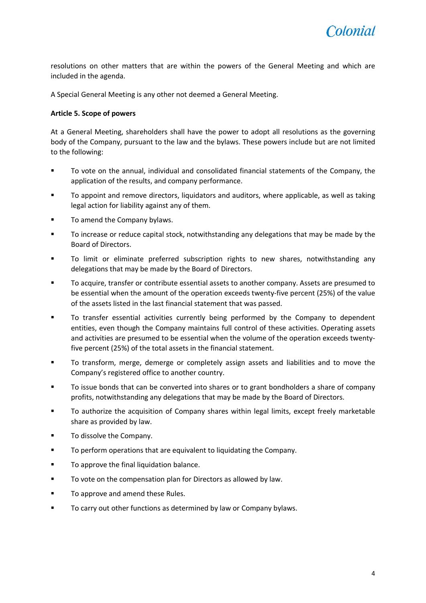resolutions on other matters that are within the powers of the General Meeting and which are included in the agenda.

A Special General Meeting is any other not deemed a General Meeting.

#### <span id="page-3-0"></span>**Article 5. Scope of powers**

At a General Meeting, shareholders shall have the power to adopt all resolutions as the governing body of the Company, pursuant to the law and the bylaws. These powers include but are not limited to the following:

- To vote on the annual, individual and consolidated financial statements of the Company, the application of the results, and company performance.
- To appoint and remove directors, liquidators and auditors, where applicable, as well as taking legal action for liability against any of them.
- **To amend the Company bylaws.**
- To increase or reduce capital stock, notwithstanding any delegations that may be made by the Board of Directors.
- To limit or eliminate preferred subscription rights to new shares, notwithstanding any delegations that may be made by the Board of Directors.
- To acquire, transfer or contribute essential assets to another company. Assets are presumed to be essential when the amount of the operation exceeds twenty-five percent (25%) of the value of the assets listed in the last financial statement that was passed.
- To transfer essential activities currently being performed by the Company to dependent entities, even though the Company maintains full control of these activities. Operating assets and activities are presumed to be essential when the volume of the operation exceeds twentyfive percent (25%) of the total assets in the financial statement.
- To transform, merge, demerge or completely assign assets and liabilities and to move the Company's registered office to another country.
- To issue bonds that can be converted into shares or to grant bondholders a share of company profits, notwithstanding any delegations that may be made by the Board of Directors.
- To authorize the acquisition of Company shares within legal limits, except freely marketable share as provided by law.
- To dissolve the Company.
- **TO perform operations that are equivalent to liquidating the Company.**
- **To approve the final liquidation balance.**
- To vote on the compensation plan for Directors as allowed by law.
- **To approve and amend these Rules.**
- **TO carry out other functions as determined by law or Company bylaws.**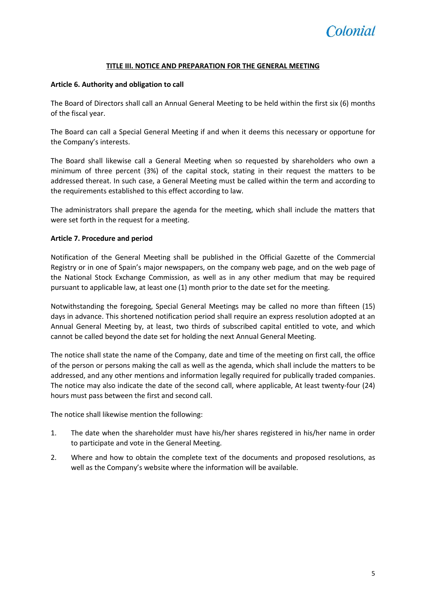

#### **TITLE III. NOTICE AND PREPARATION FOR THE GENERAL MEETING**

#### <span id="page-4-1"></span><span id="page-4-0"></span>**Article 6. Authority and obligation to call**

The Board of Directors shall call an Annual General Meeting to be held within the first six (6) months of the fiscal year.

The Board can call a Special General Meeting if and when it deems this necessary or opportune for the Company's interests.

The Board shall likewise call a General Meeting when so requested by shareholders who own a minimum of three percent (3%) of the capital stock, stating in their request the matters to be addressed thereat. In such case, a General Meeting must be called within the term and according to the requirements established to this effect according to law.

The administrators shall prepare the agenda for the meeting, which shall include the matters that were set forth in the request for a meeting.

#### <span id="page-4-2"></span>**Article 7. Procedure and period**

Notification of the General Meeting shall be published in the Official Gazette of the Commercial Registry or in one of Spain's major newspapers, on the company web page, and on the web page of the National Stock Exchange Commission, as well as in any other medium that may be required pursuant to applicable law, at least one (1) month prior to the date set for the meeting.

Notwithstanding the foregoing, Special General Meetings may be called no more than fifteen (15) days in advance. This shortened notification period shall require an express resolution adopted at an Annual General Meeting by, at least, two thirds of subscribed capital entitled to vote, and which cannot be called beyond the date set for holding the next Annual General Meeting.

The notice shall state the name of the Company, date and time of the meeting on first call, the office of the person or persons making the call as well as the agenda, which shall include the matters to be addressed, and any other mentions and information legally required for publically traded companies. The notice may also indicate the date of the second call, where applicable, At least twenty-four (24) hours must pass between the first and second call.

The notice shall likewise mention the following:

- 1. The date when the shareholder must have his/her shares registered in his/her name in order to participate and vote in the General Meeting.
- 2. Where and how to obtain the complete text of the documents and proposed resolutions, as well as the Company's website where the information will be available.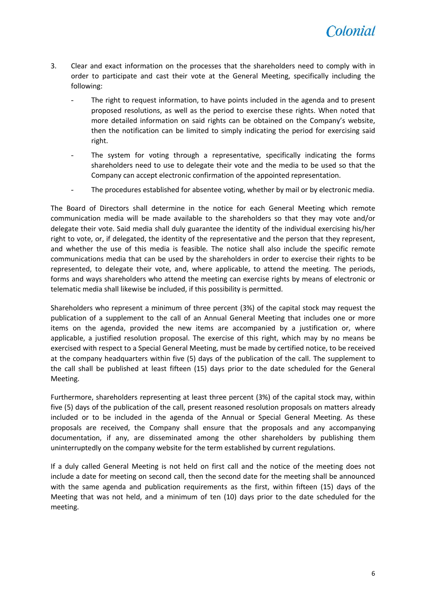- 3. Clear and exact information on the processes that the shareholders need to comply with in order to participate and cast their vote at the General Meeting, specifically including the following:
	- The right to request information, to have points included in the agenda and to present proposed resolutions, as well as the period to exercise these rights. When noted that more detailed information on said rights can be obtained on the Company's website, then the notification can be limited to simply indicating the period for exercising said right.
	- The system for voting through a representative, specifically indicating the forms shareholders need to use to delegate their vote and the media to be used so that the Company can accept electronic confirmation of the appointed representation.
	- The procedures established for absentee voting, whether by mail or by electronic media.

The Board of Directors shall determine in the notice for each General Meeting which remote communication media will be made available to the shareholders so that they may vote and/or delegate their vote. Said media shall duly guarantee the identity of the individual exercising his/her right to vote, or, if delegated, the identity of the representative and the person that they represent, and whether the use of this media is feasible. The notice shall also include the specific remote communications media that can be used by the shareholders in order to exercise their rights to be represented, to delegate their vote, and, where applicable, to attend the meeting. The periods, forms and ways shareholders who attend the meeting can exercise rights by means of electronic or telematic media shall likewise be included, if this possibility is permitted.

Shareholders who represent a minimum of three percent (3%) of the capital stock may request the publication of a supplement to the call of an Annual General Meeting that includes one or more items on the agenda, provided the new items are accompanied by a justification or, where applicable, a justified resolution proposal. The exercise of this right, which may by no means be exercised with respect to a Special General Meeting, must be made by certified notice, to be received at the company headquarters within five (5) days of the publication of the call. The supplement to the call shall be published at least fifteen (15) days prior to the date scheduled for the General Meeting.

Furthermore, shareholders representing at least three percent (3%) of the capital stock may, within five (5) days of the publication of the call, present reasoned resolution proposals on matters already included or to be included in the agenda of the Annual or Special General Meeting. As these proposals are received, the Company shall ensure that the proposals and any accompanying documentation, if any, are disseminated among the other shareholders by publishing them uninterruptedly on the company website for the term established by current regulations.

If a duly called General Meeting is not held on first call and the notice of the meeting does not include a date for meeting on second call, then the second date for the meeting shall be announced with the same agenda and publication requirements as the first, within fifteen (15) days of the Meeting that was not held, and a minimum of ten (10) days prior to the date scheduled for the meeting.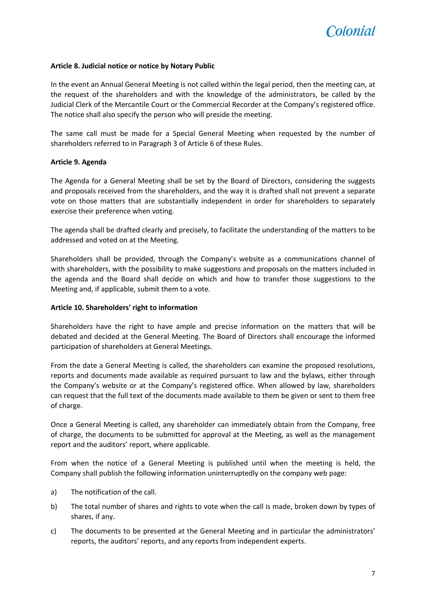

#### <span id="page-6-0"></span>**Article 8. Judicial notice or notice by Notary Public**

In the event an Annual General Meeting is not called within the legal period, then the meeting can, at the request of the shareholders and with the knowledge of the administrators, be called by the Judicial Clerk of the Mercantile Court or the Commercial Recorder at the Company's registered office. The notice shall also specify the person who will preside the meeting.

The same call must be made for a Special General Meeting when requested by the number of shareholders referred to in Paragraph 3 of Article 6 of these Rules.

#### <span id="page-6-1"></span>**Article 9. Agenda**

The Agenda for a General Meeting shall be set by the Board of Directors, considering the suggests and proposals received from the shareholders, and the way it is drafted shall not prevent a separate vote on those matters that are substantially independent in order for shareholders to separately exercise their preference when voting.

The agenda shall be drafted clearly and precisely, to facilitate the understanding of the matters to be addressed and voted on at the Meeting.

Shareholders shall be provided, through the Company's website as a communications channel of with shareholders, with the possibility to make suggestions and proposals on the matters included in the agenda and the Board shall decide on which and how to transfer those suggestions to the Meeting and, if applicable, submit them to a vote.

#### <span id="page-6-2"></span>**Article 10. Shareholders' right to information**

Shareholders have the right to have ample and precise information on the matters that will be debated and decided at the General Meeting. The Board of Directors shall encourage the informed participation of shareholders at General Meetings.

From the date a General Meeting is called, the shareholders can examine the proposed resolutions, reports and documents made available as required pursuant to law and the bylaws, either through the Company's website or at the Company's registered office. When allowed by law, shareholders can request that the full text of the documents made available to them be given or sent to them free of charge.

Once a General Meeting is called, any shareholder can immediately obtain from the Company, free of charge, the documents to be submitted for approval at the Meeting, as well as the management report and the auditors' report, where applicable.

From when the notice of a General Meeting is published until when the meeting is held, the Company shall publish the following information uninterruptedly on the company web page:

- a) The notification of the call.
- b) The total number of shares and rights to vote when the call is made, broken down by types of shares, if any.
- c) The documents to be presented at the General Meeting and in particular the administrators' reports, the auditors' reports, and any reports from independent experts.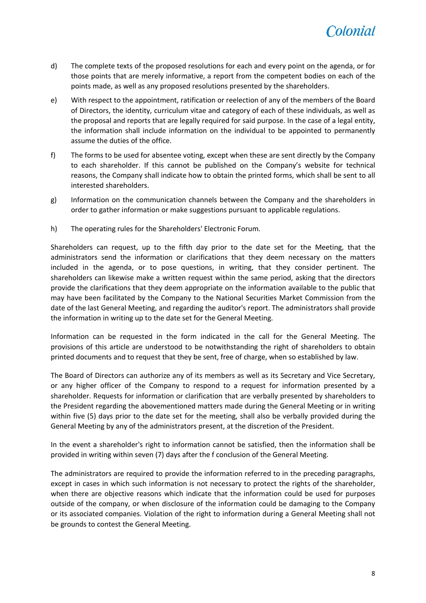

- d) The complete texts of the proposed resolutions for each and every point on the agenda, or for those points that are merely informative, a report from the competent bodies on each of the points made, as well as any proposed resolutions presented by the shareholders.
- e) With respect to the appointment, ratification or reelection of any of the members of the Board of Directors, the identity, curriculum vitae and category of each of these individuals, as well as the proposal and reports that are legally required for said purpose. In the case of a legal entity, the information shall include information on the individual to be appointed to permanently assume the duties of the office.
- f) The forms to be used for absentee voting, except when these are sent directly by the Company to each shareholder. If this cannot be published on the Company's website for technical reasons, the Company shall indicate how to obtain the printed forms, which shall be sent to all interested shareholders.
- g) Information on the communication channels between the Company and the shareholders in order to gather information or make suggestions pursuant to applicable regulations.
- h) The operating rules for the Shareholders' Electronic Forum.

Shareholders can request, up to the fifth day prior to the date set for the Meeting, that the administrators send the information or clarifications that they deem necessary on the matters included in the agenda, or to pose questions, in writing, that they consider pertinent. The shareholders can likewise make a written request within the same period, asking that the directors provide the clarifications that they deem appropriate on the information available to the public that may have been facilitated by the Company to the National Securities Market Commission from the date of the last General Meeting, and regarding the auditor's report. The administrators shall provide the information in writing up to the date set for the General Meeting.

Information can be requested in the form indicated in the call for the General Meeting. The provisions of this article are understood to be notwithstanding the right of shareholders to obtain printed documents and to request that they be sent, free of charge, when so established by law.

The Board of Directors can authorize any of its members as well as its Secretary and Vice Secretary, or any higher officer of the Company to respond to a request for information presented by a shareholder. Requests for information or clarification that are verbally presented by shareholders to the President regarding the abovementioned matters made during the General Meeting or in writing within five (5) days prior to the date set for the meeting, shall also be verbally provided during the General Meeting by any of the administrators present, at the discretion of the President.

In the event a shareholder's right to information cannot be satisfied, then the information shall be provided in writing within seven (7) days after the f conclusion of the General Meeting.

The administrators are required to provide the information referred to in the preceding paragraphs, except in cases in which such information is not necessary to protect the rights of the shareholder, when there are objective reasons which indicate that the information could be used for purposes outside of the company, or when disclosure of the information could be damaging to the Company or its associated companies. Violation of the right to information during a General Meeting shall not be grounds to contest the General Meeting.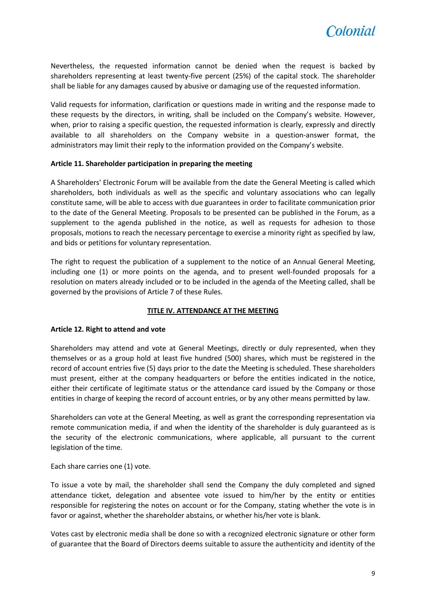

Nevertheless, the requested information cannot be denied when the request is backed by shareholders representing at least twenty-five percent (25%) of the capital stock. The shareholder shall be liable for any damages caused by abusive or damaging use of the requested information.

Valid requests for information, clarification or questions made in writing and the response made to these requests by the directors, in writing, shall be included on the Company's website. However, when, prior to raising a specific question, the requested information is clearly, expressly and directly available to all shareholders on the Company website in a question-answer format, the administrators may limit their reply to the information provided on the Company's website.

#### <span id="page-8-0"></span>**Article 11. Shareholder participation in preparing the meeting**

A Shareholders' Electronic Forum will be available from the date the General Meeting is called which shareholders, both individuals as well as the specific and voluntary associations who can legally constitute same, will be able to access with due guarantees in order to facilitate communication prior to the date of the General Meeting. Proposals to be presented can be published in the Forum, as a supplement to the agenda published in the notice, as well as requests for adhesion to those proposals, motions to reach the necessary percentage to exercise a minority right as specified by law, and bids or petitions for voluntary representation.

The right to request the publication of a supplement to the notice of an Annual General Meeting, including one (1) or more points on the agenda, and to present well-founded proposals for a resolution on maters already included or to be included in the agenda of the Meeting called, shall be governed by the provisions of Article 7 of these Rules.

#### **TITLE IV. ATTENDANCE AT THE MEETING**

#### <span id="page-8-2"></span><span id="page-8-1"></span>**Article 12. Right to attend and vote**

Shareholders may attend and vote at General Meetings, directly or duly represented, when they themselves or as a group hold at least five hundred (500) shares, which must be registered in the record of account entries five (5) days prior to the date the Meeting is scheduled. These shareholders must present, either at the company headquarters or before the entities indicated in the notice, either their certificate of legitimate status or the attendance card issued by the Company or those entities in charge of keeping the record of account entries, or by any other means permitted by law.

Shareholders can vote at the General Meeting, as well as grant the corresponding representation via remote communication media, if and when the identity of the shareholder is duly guaranteed as is the security of the electronic communications, where applicable, all pursuant to the current legislation of the time.

Each share carries one (1) vote.

To issue a vote by mail, the shareholder shall send the Company the duly completed and signed attendance ticket, delegation and absentee vote issued to him/her by the entity or entities responsible for registering the notes on account or for the Company, stating whether the vote is in favor or against, whether the shareholder abstains, or whether his/her vote is blank.

Votes cast by electronic media shall be done so with a recognized electronic signature or other form of guarantee that the Board of Directors deems suitable to assure the authenticity and identity of the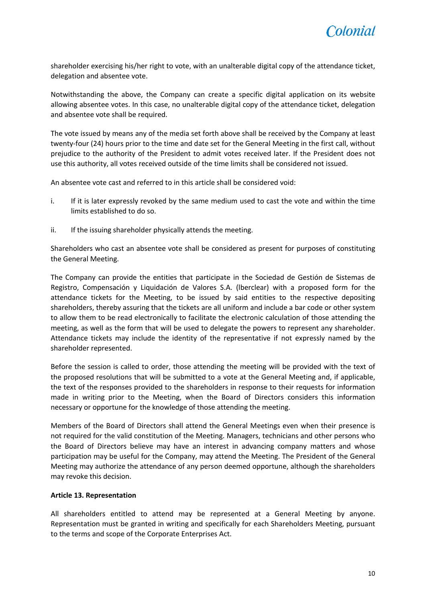shareholder exercising his/her right to vote, with an unalterable digital copy of the attendance ticket, delegation and absentee vote.

Notwithstanding the above, the Company can create a specific digital application on its website allowing absentee votes. In this case, no unalterable digital copy of the attendance ticket, delegation and absentee vote shall be required.

The vote issued by means any of the media set forth above shall be received by the Company at least twenty-four (24) hours prior to the time and date set for the General Meeting in the first call, without prejudice to the authority of the President to admit votes received later. If the President does not use this authority, all votes received outside of the time limits shall be considered not issued.

An absentee vote cast and referred to in this article shall be considered void:

- i. If it is later expressly revoked by the same medium used to cast the vote and within the time limits established to do so.
- ii. If the issuing shareholder physically attends the meeting.

Shareholders who cast an absentee vote shall be considered as present for purposes of constituting the General Meeting.

The Company can provide the entities that participate in the Sociedad de Gestión de Sistemas de Registro, Compensación y Liquidación de Valores S.A. (lberclear) with a proposed form for the attendance tickets for the Meeting, to be issued by said entities to the respective depositing shareholders, thereby assuring that the tickets are all uniform and include a bar code or other system to allow them to be read electronically to facilitate the electronic calculation of those attending the meeting, as well as the form that will be used to delegate the powers to represent any shareholder. Attendance tickets may include the identity of the representative if not expressly named by the shareholder represented.

Before the session is called to order, those attending the meeting will be provided with the text of the proposed resolutions that will be submitted to a vote at the General Meeting and, if applicable, the text of the responses provided to the shareholders in response to their requests for information made in writing prior to the Meeting, when the Board of Directors considers this information necessary or opportune for the knowledge of those attending the meeting.

Members of the Board of Directors shall attend the General Meetings even when their presence is not required for the valid constitution of the Meeting. Managers, technicians and other persons who the Board of Directors believe may have an interest in advancing company matters and whose participation may be useful for the Company, may attend the Meeting. The President of the General Meeting may authorize the attendance of any person deemed opportune, although the shareholders may revoke this decision.

#### <span id="page-9-0"></span>**Article 13. Representation**

All shareholders entitled to attend may be represented at a General Meeting by anyone. Representation must be granted in writing and specifically for each Shareholders Meeting, pursuant to the terms and scope of the Corporate Enterprises Act.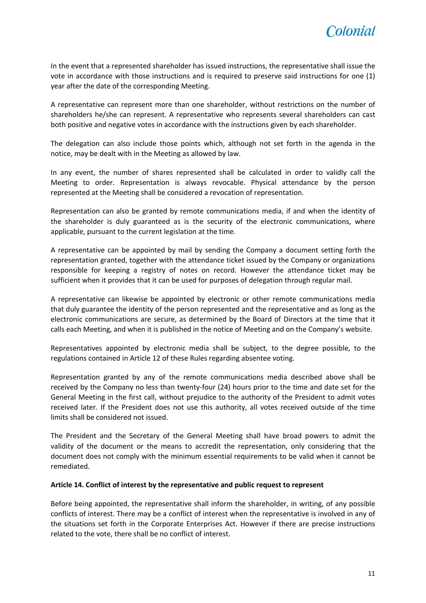

In the event that a represented shareholder has issued instructions, the representative shall issue the vote in accordance with those instructions and is required to preserve said instructions for one (1) year after the date of the corresponding Meeting.

A representative can represent more than one shareholder, without restrictions on the number of shareholders he/she can represent. A representative who represents several shareholders can cast both positive and negative votes in accordance with the instructions given by each shareholder.

The delegation can also include those points which, although not set forth in the agenda in the notice, may be dealt with in the Meeting as allowed by law.

In any event, the number of shares represented shall be calculated in order to validly call the Meeting to order. Representation is always revocable. Physical attendance by the person represented at the Meeting shall be considered a revocation of representation.

Representation can also be granted by remote communications media, if and when the identity of the shareholder is duly guaranteed as is the security of the electronic communications, where applicable, pursuant to the current legislation at the time.

A representative can be appointed by mail by sending the Company a document setting forth the representation granted, together with the attendance ticket issued by the Company or organizations responsible for keeping a registry of notes on record. However the attendance ticket may be sufficient when it provides that it can be used for purposes of delegation through regular mail.

A representative can likewise be appointed by electronic or other remote communications media that duly guarantee the identity of the person represented and the representative and as long as the electronic communications are secure, as determined by the Board of Directors at the time that it calls each Meeting, and when it is published in the notice of Meeting and on the Company's website.

Representatives appointed by electronic media shall be subject, to the degree possible, to the regulations contained in Article 12 of these Rules regarding absentee voting.

Representation granted by any of the remote communications media described above shall be received by the Company no less than twenty-four (24) hours prior to the time and date set for the General Meeting in the first call, without prejudice to the authority of the President to admit votes received later. If the President does not use this authority, all votes received outside of the time limits shall be considered not issued.

The President and the Secretary of the General Meeting shall have broad powers to admit the validity of the document or the means to accredit the representation, only considering that the document does not comply with the minimum essential requirements to be valid when it cannot be remediated.

#### <span id="page-10-0"></span>**Article 14. Conflict of interest by the representative and public request to represent**

Before being appointed, the representative shall inform the shareholder, in writing, of any possible conflicts of interest. There may be a conflict of interest when the representative is involved in any of the situations set forth in the Corporate Enterprises Act. However if there are precise instructions related to the vote, there shall be no conflict of interest.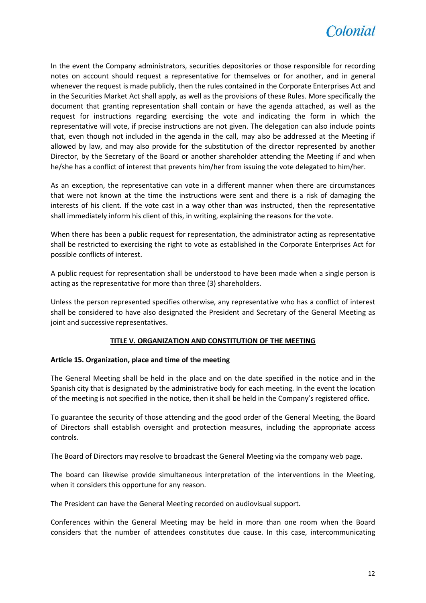

In the event the Company administrators, securities depositories or those responsible for recording notes on account should request a representative for themselves or for another, and in general whenever the request is made publicly, then the rules contained in the Corporate Enterprises Act and in the Securities Market Act shall apply, as well as the provisions of these Rules. More specifically the document that granting representation shall contain or have the agenda attached, as well as the request for instructions regarding exercising the vote and indicating the form in which the representative will vote, if precise instructions are not given. The delegation can also include points that, even though not included in the agenda in the call, may also be addressed at the Meeting if allowed by law, and may also provide for the substitution of the director represented by another Director, by the Secretary of the Board or another shareholder attending the Meeting if and when he/she has a conflict of interest that prevents him/her from issuing the vote delegated to him/her.

As an exception, the representative can vote in a different manner when there are circumstances that were not known at the time the instructions were sent and there is a risk of damaging the interests of his client. If the vote cast in a way other than was instructed, then the representative shall immediately inform his client of this, in writing, explaining the reasons for the vote.

When there has been a public request for representation, the administrator acting as representative shall be restricted to exercising the right to vote as established in the Corporate Enterprises Act for possible conflicts of interest.

A public request for representation shall be understood to have been made when a single person is acting as the representative for more than three (3) shareholders.

Unless the person represented specifies otherwise, any representative who has a conflict of interest shall be considered to have also designated the President and Secretary of the General Meeting as joint and successive representatives.

#### **TITLE V. ORGANIZATION AND CONSTITUTION OF THE MEETING**

#### <span id="page-11-1"></span><span id="page-11-0"></span>**Article 15. Organization, place and time of the meeting**

The General Meeting shall be held in the place and on the date specified in the notice and in the Spanish city that is designated by the administrative body for each meeting. In the event the location of the meeting is not specified in the notice, then it shall be held in the Company's registered office.

To guarantee the security of those attending and the good order of the General Meeting, the Board of Directors shall establish oversight and protection measures, including the appropriate access controls.

The Board of Directors may resolve to broadcast the General Meeting via the company web page.

The board can likewise provide simultaneous interpretation of the interventions in the Meeting, when it considers this opportune for any reason.

The President can have the General Meeting recorded on audiovisual support.

Conferences within the General Meeting may be held in more than one room when the Board considers that the number of attendees constitutes due cause. In this case, intercommunicating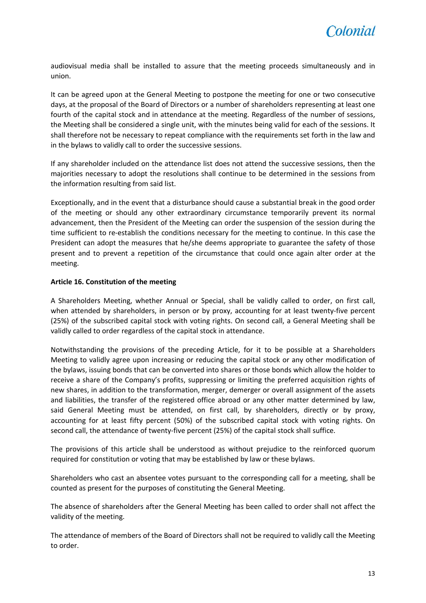

audiovisual media shall be installed to assure that the meeting proceeds simultaneously and in union.

It can be agreed upon at the General Meeting to postpone the meeting for one or two consecutive days, at the proposal of the Board of Directors or a number of shareholders representing at least one fourth of the capital stock and in attendance at the meeting. Regardless of the number of sessions, the Meeting shall be considered a single unit, with the minutes being valid for each of the sessions. It shall therefore not be necessary to repeat compliance with the requirements set forth in the law and in the bylaws to validly call to order the successive sessions.

If any shareholder included on the attendance list does not attend the successive sessions, then the majorities necessary to adopt the resolutions shall continue to be determined in the sessions from the information resulting from said list.

Exceptionally, and in the event that a disturbance should cause a substantial break in the good order of the meeting or should any other extraordinary circumstance temporarily prevent its normal advancement, then the President of the Meeting can order the suspension of the session during the time sufficient to re-establish the conditions necessary for the meeting to continue. In this case the President can adopt the measures that he/she deems appropriate to guarantee the safety of those present and to prevent a repetition of the circumstance that could once again alter order at the meeting.

#### <span id="page-12-0"></span>**Article 16. Constitution of the meeting**

A Shareholders Meeting, whether Annual or Special, shall be validly called to order, on first call, when attended by shareholders, in person or by proxy, accounting for at least twenty-five percent (25%) of the subscribed capital stock with voting rights. On second call, a General Meeting shall be validly called to order regardless of the capital stock in attendance.

Notwithstanding the provisions of the preceding Article, for it to be possible at a Shareholders Meeting to validly agree upon increasing or reducing the capital stock or any other modification of the bylaws, issuing bonds that can be converted into shares or those bonds which allow the holder to receive a share of the Company's profits, suppressing or limiting the preferred acquisition rights of new shares, in addition to the transformation, merger, demerger or overall assignment of the assets and liabilities, the transfer of the registered office abroad or any other matter determined by law, said General Meeting must be attended, on first call, by shareholders, directly or by proxy, accounting for at least fifty percent (50%) of the subscribed capital stock with voting rights. On second call, the attendance of twenty-five percent (25%) of the capital stock shall suffice.

The provisions of this article shall be understood as without prejudice to the reinforced quorum required for constitution or voting that may be established by law or these bylaws.

Shareholders who cast an absentee votes pursuant to the corresponding call for a meeting, shall be counted as present for the purposes of constituting the General Meeting.

The absence of shareholders after the General Meeting has been called to order shall not affect the validity of the meeting.

The attendance of members of the Board of Directors shall not be required to validly call the Meeting to order.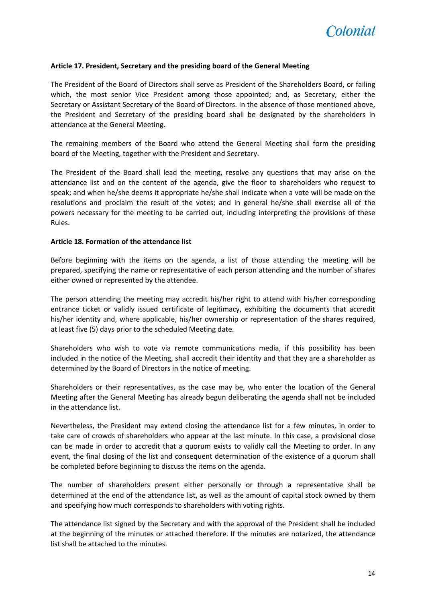

#### <span id="page-13-0"></span>**Article 17. President, Secretary and the presiding board of the General Meeting**

The President of the Board of Directors shall serve as President of the Shareholders Board, or failing which, the most senior Vice President among those appointed; and, as Secretary, either the Secretary or Assistant Secretary of the Board of Directors. In the absence of those mentioned above, the President and Secretary of the presiding board shall be designated by the shareholders in attendance at the General Meeting.

The remaining members of the Board who attend the General Meeting shall form the presiding board of the Meeting, together with the President and Secretary.

The President of the Board shall lead the meeting, resolve any questions that may arise on the attendance list and on the content of the agenda, give the floor to shareholders who request to speak; and when he/she deems it appropriate he/she shall indicate when a vote will be made on the resolutions and proclaim the result of the votes; and in general he/she shall exercise all of the powers necessary for the meeting to be carried out, including interpreting the provisions of these Rules.

#### <span id="page-13-1"></span>**Article 18. Formation of the attendance list**

Before beginning with the items on the agenda, a list of those attending the meeting will be prepared, specifying the name or representative of each person attending and the number of shares either owned or represented by the attendee.

The person attending the meeting may accredit his/her right to attend with his/her corresponding entrance ticket or validly issued certificate of legitimacy, exhibiting the documents that accredit his/her identity and, where applicable, his/her ownership or representation of the shares required, at least five (5) days prior to the scheduled Meeting date.

Shareholders who wish to vote via remote communications media, if this possibility has been included in the notice of the Meeting, shall accredit their identity and that they are a shareholder as determined by the Board of Directors in the notice of meeting.

Shareholders or their representatives, as the case may be, who enter the location of the General Meeting after the General Meeting has already begun deliberating the agenda shall not be included in the attendance list.

Nevertheless, the President may extend closing the attendance list for a few minutes, in order to take care of crowds of shareholders who appear at the last minute. In this case, a provisional close can be made in order to accredit that a quorum exists to validly call the Meeting to order. In any event, the final closing of the list and consequent determination of the existence of a quorum shall be completed before beginning to discuss the items on the agenda.

The number of shareholders present either personally or through a representative shall be determined at the end of the attendance list, as well as the amount of capital stock owned by them and specifying how much corresponds to shareholders with voting rights.

The attendance list signed by the Secretary and with the approval of the President shall be included at the beginning of the minutes or attached therefore. If the minutes are notarized, the attendance list shall be attached to the minutes.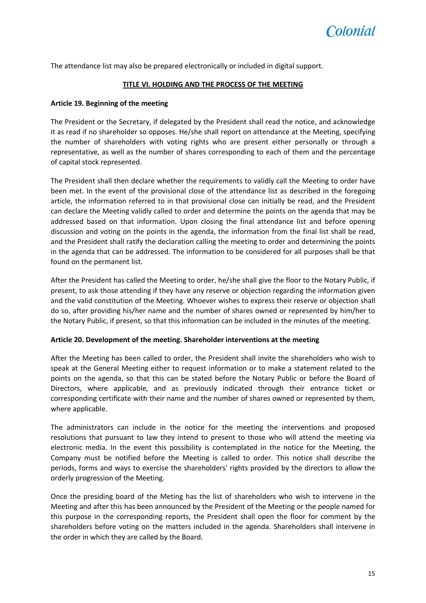<span id="page-14-0"></span>The attendance list may also be prepared electronically or included in digital support.

#### **TITLE VI. HOLDING AND THE PROCESS OF THE MEETING**

#### <span id="page-14-1"></span>**Article 19. Beginning of the meeting**

The President or the Secretary, if delegated by the President shall read the notice, and acknowledge it as read if no shareholder so opposes. He/she shall report on attendance at the Meeting, specifying the number of shareholders with voting rights who are present either personally or through a representative, as well as the number of shares corresponding to each of them and the percentage of capital stock represented.

The President shall then declare whether the requirements to validly call the Meeting to order have been met. In the event of the provisional close of the attendance list as described in the foregoing article, the information referred to in that provisional close can initially be read, and the President can declare the Meeting validly called to order and determine the points on the agenda that may be addressed based on that information. Upon closing the final attendance list and before opening discussion and voting on the points in the agenda, the information from the final list shall be read, and the President shall ratify the declaration calling the meeting to order and determining the points in the agenda that can be addressed. The information to be considered for all purposes shall be that found on the permanent list.

After the President has called the Meeting to order, he/she shall give the floor to the Notary Public, if present, to ask those attending if they have any reserve or objection regarding the information given and the valid constitution of the Meeting. Whoever wishes to express their reserve or objection shall do so, after providing his/her name and the number of shares owned or represented by him/her to the Notary Public, if present, so that this information can be included in the minutes of the meeting.

#### <span id="page-14-2"></span>**Article 20. Development of the meeting. Shareholder interventions at the meeting**

After the Meeting has been called to order, the President shall invite the shareholders who wish to speak at the General Meeting either to request information or to make a statement related to the points on the agenda, so that this can be stated before the Notary Public or before the Board of Directors, where applicable, and as previously indicated through their entrance ticket or corresponding certificate with their name and the number of shares owned or represented by them, where applicable.

The administrators can include in the notice for the meeting the interventions and proposed resolutions that pursuant to law they intend to present to those who will attend the meeting via electronic media. In the event this possibility is contemplated in the notice for the Meeting, the Company must be notified before the Meeting is called to order. This notice shall describe the periods, forms and ways to exercise the shareholders' rights provided by the directors to allow the orderly progression of the Meeting.

Once the presiding board of the Meting has the list of shareholders who wish to intervene in the Meeting and after this has been announced by the President of the Meeting or the people named for this purpose in the corresponding reports, the President shall open the floor for comment by the shareholders before voting on the matters included in the agenda. Shareholders shall intervene in the order in which they are called by the Board.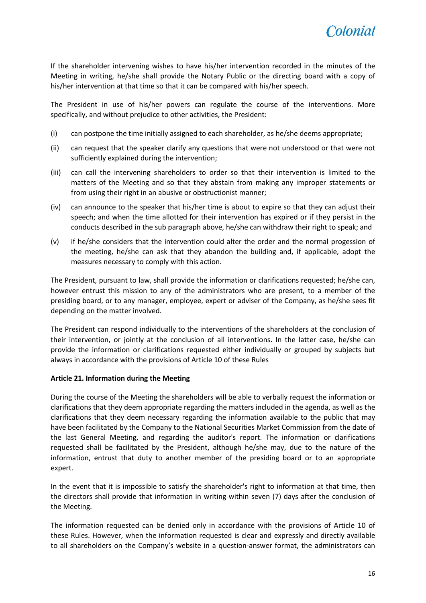

If the shareholder intervening wishes to have his/her intervention recorded in the minutes of the Meeting in writing, he/she shall provide the Notary Public or the directing board with a copy of his/her intervention at that time so that it can be compared with his/her speech.

The President in use of his/her powers can regulate the course of the interventions. More specifically, and without prejudice to other activities, the President:

- (i) can postpone the time initially assigned to each shareholder, as he/she deems appropriate;
- (ii) can request that the speaker clarify any questions that were not understood or that were not sufficiently explained during the intervention;
- (iii) can call the intervening shareholders to order so that their intervention is limited to the matters of the Meeting and so that they abstain from making any improper statements or from using their right in an abusive or obstructionist manner;
- (iv) can announce to the speaker that his/her time is about to expire so that they can adjust their speech; and when the time allotted for their intervention has expired or if they persist in the conducts described in the sub paragraph above, he/she can withdraw their right to speak; and
- (v) if he/she considers that the intervention could alter the order and the normal progession of the meeting, he/she can ask that they abandon the building and, if applicable, adopt the measures necessary to comply with this action.

The President, pursuant to law, shall provide the information or clarifications requested; he/she can, however entrust this mission to any of the administrators who are present, to a member of the presiding board, or to any manager, employee, expert or adviser of the Company, as he/she sees fit depending on the matter involved.

The President can respond individually to the interventions of the shareholders at the conclusion of their intervention, or jointly at the conclusion of all interventions. In the latter case, he/she can provide the information or clarifications requested either individually or grouped by subjects but always in accordance with the provisions of Article 10 of these Rules

#### <span id="page-15-0"></span>**Article 21. Information during the Meeting**

During the course of the Meeting the shareholders will be able to verbally request the information or clarifications that they deem appropriate regarding the matters included in the agenda, as well as the clarifications that they deem necessary regarding the information available to the public that may have been facilitated by the Company to the National Securities Market Commission from the date of the last General Meeting, and regarding the auditor's report. The information or clarifications requested shall be facilitated by the President, although he/she may, due to the nature of the information, entrust that duty to another member of the presiding board or to an appropriate expert.

In the event that it is impossible to satisfy the shareholder's right to information at that time, then the directors shall provide that information in writing within seven (7) days after the conclusion of the Meeting.

The information requested can be denied only in accordance with the provisions of Article 10 of these Rules. However, when the information requested is clear and expressly and directly available to all shareholders on the Company's website in a question-answer format, the administrators can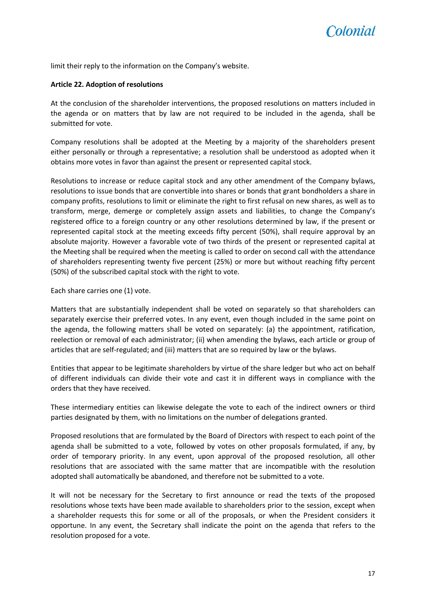

limit their reply to the information on the Company's website.

#### <span id="page-16-0"></span>**Article 22. Adoption of resolutions**

At the conclusion of the shareholder interventions, the proposed resolutions on matters included in the agenda or on matters that by law are not required to be included in the agenda, shall be submitted for vote.

Company resolutions shall be adopted at the Meeting by a majority of the shareholders present either personally or through a representative; a resolution shall be understood as adopted when it obtains more votes in favor than against the present or represented capital stock.

Resolutions to increase or reduce capital stock and any other amendment of the Company bylaws, resolutions to issue bonds that are convertible into shares or bonds that grant bondholders a share in company profits, resolutions to limit or eliminate the right to first refusal on new shares, as well as to transform, merge, demerge or completely assign assets and liabilities, to change the Company's registered office to a foreign country or any other resolutions determined by law, if the present or represented capital stock at the meeting exceeds fifty percent (50%), shall require approval by an absolute majority. However a favorable vote of two thirds of the present or represented capital at the Meeting shall be required when the meeting is called to order on second call with the attendance of shareholders representing twenty five percent (25%) or more but without reaching fifty percent (50%) of the subscribed capital stock with the right to vote.

Each share carries one (1) vote.

Matters that are substantially independent shall be voted on separately so that shareholders can separately exercise their preferred votes. In any event, even though included in the same point on the agenda, the following matters shall be voted on separately: (a) the appointment, ratification, reelection or removal of each administrator; (ii) when amending the bylaws, each article or group of articles that are self-regulated; and (iii) matters that are so required by law or the bylaws.

Entities that appear to be legitimate shareholders by virtue of the share ledger but who act on behalf of different individuals can divide their vote and cast it in different ways in compliance with the orders that they have received.

These intermediary entities can likewise delegate the vote to each of the indirect owners or third parties designated by them, with no limitations on the number of delegations granted.

Proposed resolutions that are formulated by the Board of Directors with respect to each point of the agenda shall be submitted to a vote, followed by votes on other proposals formulated, if any, by order of temporary priority. In any event, upon approval of the proposed resolution, all other resolutions that are associated with the same matter that are incompatible with the resolution adopted shall automatically be abandoned, and therefore not be submitted to a vote.

It will not be necessary for the Secretary to first announce or read the texts of the proposed resolutions whose texts have been made available to shareholders prior to the session, except when a shareholder requests this for some or all of the proposals, or when the President considers it opportune. In any event, the Secretary shall indicate the point on the agenda that refers to the resolution proposed for a vote.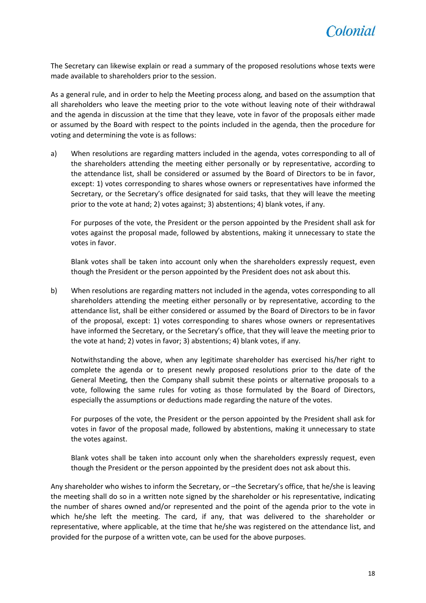

The Secretary can likewise explain or read a summary of the proposed resolutions whose texts were made available to shareholders prior to the session.

As a general rule, and in order to help the Meeting process along, and based on the assumption that all shareholders who leave the meeting prior to the vote without leaving note of their withdrawal and the agenda in discussion at the time that they leave, vote in favor of the proposals either made or assumed by the Board with respect to the points included in the agenda, then the procedure for voting and determining the vote is as follows:

a) When resolutions are regarding matters included in the agenda, votes corresponding to all of the shareholders attending the meeting either personally or by representative, according to the attendance list, shall be considered or assumed by the Board of Directors to be in favor, except: 1) votes corresponding to shares whose owners or representatives have informed the Secretary, or the Secretary's office designated for said tasks, that they will leave the meeting prior to the vote at hand; 2) votes against; 3) abstentions; 4) blank votes, if any.

For purposes of the vote, the President or the person appointed by the President shall ask for votes against the proposal made, followed by abstentions, making it unnecessary to state the votes in favor.

Blank votes shall be taken into account only when the shareholders expressly request, even though the President or the person appointed by the President does not ask about this.

b) When resolutions are regarding matters not included in the agenda, votes corresponding to all shareholders attending the meeting either personally or by representative, according to the attendance list, shall be either considered or assumed by the Board of Directors to be in favor of the proposal, except: 1) votes corresponding to shares whose owners or representatives have informed the Secretary, or the Secretary's office, that they will leave the meeting prior to the vote at hand; 2) votes in favor; 3) abstentions; 4) blank votes, if any.

Notwithstanding the above, when any legitimate shareholder has exercised his/her right to complete the agenda or to present newly proposed resolutions prior to the date of the General Meeting, then the Company shall submit these points or alternative proposals to a vote, following the same rules for voting as those formulated by the Board of Directors, especially the assumptions or deductions made regarding the nature of the votes.

For purposes of the vote, the President or the person appointed by the President shall ask for votes in favor of the proposal made, followed by abstentions, making it unnecessary to state the votes against.

Blank votes shall be taken into account only when the shareholders expressly request, even though the President or the person appointed by the president does not ask about this.

Any shareholder who wishes to inform the Secretary, or –the Secretary's office, that he/she is leaving the meeting shall do so in a written note signed by the shareholder or his representative, indicating the number of shares owned and/or represented and the point of the agenda prior to the vote in which he/she left the meeting. The card, if any, that was delivered to the shareholder or representative, where applicable, at the time that he/she was registered on the attendance list, and provided for the purpose of a written vote, can be used for the above purposes.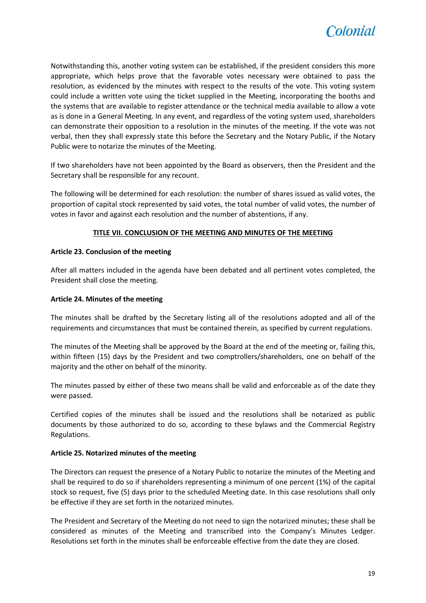

Notwithstanding this, another voting system can be established, if the president considers this more appropriate, which helps prove that the favorable votes necessary were obtained to pass the resolution, as evidenced by the minutes with respect to the results of the vote. This voting system could include a written vote using the ticket supplied in the Meeting, incorporating the booths and the systems that are available to register attendance or the technical media available to allow a vote as is done in a General Meeting. In any event, and regardless of the voting system used, shareholders can demonstrate their opposition to a resolution in the minutes of the meeting. If the vote was not verbal, then they shall expressly state this before the Secretary and the Notary Public, if the Notary Public were to notarize the minutes of the Meeting.

If two shareholders have not been appointed by the Board as observers, then the President and the Secretary shall be responsible for any recount.

The following will be determined for each resolution: the number of shares issued as valid votes, the proportion of capital stock represented by said votes, the total number of valid votes, the number of votes in favor and against each resolution and the number of abstentions, if any.

#### **TITLE VII. CONCLUSION OF THE MEETING AND MINUTES OF THE MEETING**

#### <span id="page-18-1"></span><span id="page-18-0"></span>**Article 23. Conclusion of the meeting**

After all matters included in the agenda have been debated and all pertinent votes completed, the President shall close the meeting.

#### <span id="page-18-2"></span>**Article 24. Minutes of the meeting**

The minutes shall be drafted by the Secretary listing all of the resolutions adopted and all of the requirements and circumstances that must be contained therein, as specified by current regulations.

The minutes of the Meeting shall be approved by the Board at the end of the meeting or, failing this, within fifteen (15) days by the President and two comptrollers/shareholders, one on behalf of the majority and the other on behalf of the minority.

The minutes passed by either of these two means shall be valid and enforceable as of the date they were passed.

Certified copies of the minutes shall be issued and the resolutions shall be notarized as public documents by those authorized to do so, according to these bylaws and the Commercial Registry Regulations.

#### <span id="page-18-3"></span>**Article 25. Notarized minutes of the meeting**

The Directors can request the presence of a Notary Public to notarize the minutes of the Meeting and shall be required to do so if shareholders representing a minimum of one percent (1%) of the capital stock so request, five (5) days prior to the scheduled Meeting date. In this case resolutions shall only be effective if they are set forth in the notarized minutes.

The President and Secretary of the Meeting do not need to sign the notarized minutes; these shall be considered as minutes of the Meeting and transcribed into the Company's Minutes Ledger. Resolutions set forth in the minutes shall be enforceable effective from the date they are closed.